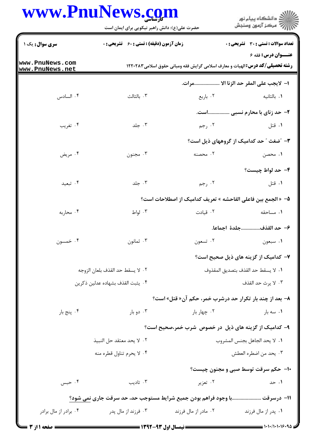## www.PnuNews.com

|                                  | www.Pnulvews.com<br>حضرت علی(ع): دانش راهبر نیکویی برای ایمان است         |                                                                                       | ڪ دانشڪاه پيا <sub>م</sub> نور<br>∕7 مرڪز آزمون وسنڊش |
|----------------------------------|---------------------------------------------------------------------------|---------------------------------------------------------------------------------------|-------------------------------------------------------|
| <b>سری سوال :</b> یک ۱           | <b>زمان آزمون (دقیقه) : تستی : 60 ٪ تشریحی : 0</b>                        |                                                                                       | <b>تعداد سوالات : تستی : 30 ٪ تشریحی : 0</b>          |
| ww.PnuNews.com<br>ww.PnuNews.net |                                                                           | <b>رشته تحصیلی/کد درس:</b> الهیات و معارف اسلامی گرایش فقه ومبانی حقوق اسلامی ۱۲۲۰۲۸۳ | <b>عنــوان درس:</b> فقه ۶                             |
|                                  |                                                                           |                                                                                       | ا- لايجب على المقر حد الزنا الا وات.                  |
| ۰۴ السادس                        | ٠٣ بالثالث                                                                | ۰۲ باربع                                                                              | ۰۱ بالثانيه                                           |
|                                  |                                                                           |                                                                                       | ۲- حد زنای با محارم نسبی است.                         |
| ۰۴ تغریب                         | ۰۳ جلد                                                                    | ۰۲ رجم                                                                                | ۰۱ قتل                                                |
|                                  |                                                                           |                                                                                       | ۳- ″ضغث ″ حد کدامیک از گروههای ذیل است؟               |
| ۰۴ مريض                          | ۰۳ مجنون                                                                  | ۲. محصنه                                                                              | ۰۱ محصن                                               |
|                                  |                                                                           |                                                                                       | ۴- حد لواط چیست؟                                      |
| ۰۴ تبعید                         | ۰۳ جلد                                                                    | ۰۲ رجم                                                                                | ٠١ قتل                                                |
|                                  |                                                                           | ۵− « الجمع بين فاعلى الفاحشه » تعريف كداميك از اصطلاحات است؟                          |                                                       |
| ۰۴ محاربه                        | ۰۳ لواط                                                                   | ۰۲ قیادت                                                                              | ٠١ مساحقه                                             |
|                                  |                                                                           |                                                                                       | ۶– حد القذفجلدهٔ اجماعا.                              |
| ۰۴ خمسون                         | ۰۳ ثمانون                                                                 | ۰۲ تسعون                                                                              | ۰۱ سبعون                                              |
|                                  |                                                                           |                                                                                       | ۷– کدامیک از گزینه های ذیل صحیح است؟                  |
|                                  | ٠٢ لا يسقط حد القذف بلعان الزوجه                                          |                                                                                       | ٠١ لا يسقط حد القذف بتصديق المقذوف                    |
|                                  | ۰۴ يثبت القذف بشهاده عدلين ذكرين                                          |                                                                                       | ٠٣ لا يرث حد القذف                                    |
|                                  |                                                                           | <b>۸- بعد از چند بار تکرار حد درشرب خمر، حکم آن« قتل» است؟</b>                        |                                                       |
| ۰۴ پنج بار                       | ۰۳ دو بار                                                                 | ۰۲ چهار بار                                                                           | ۰۱ سه بار                                             |
|                                  |                                                                           | ۹- کدامیک از گزینه های ذیل در خصوص شرب خمر،صحیح است؟                                  |                                                       |
|                                  | ٠٢ لا يحد معتقد حل النبيذ                                                 |                                                                                       | ٠١. لا يحد الجاهل بجنس المشروب                        |
|                                  | ۰۴ لا يحرم تناول قطره منه                                                 |                                                                                       | ٠٣ يحد من اضطره العطش                                 |
|                                  |                                                                           |                                                                                       | ۱۰– حکم سرقت توسط صبی و مجنون چیست؟                   |
| ۰۴ حبس                           | ۰۳ تادیب                                                                  | ۰۲ تعزیر                                                                              | ۰۱ حد                                                 |
|                                  | 11- درسرقت با وجود فراهم بودن جميع شرايط مستوجب حد، حد سرقت جاري نمي شود؟ |                                                                                       |                                                       |
| ۰۴ برادر از مال برادر            | ۰۳ فرزند از مال پدر                                                       | ۰۲ مادر از مال فرزند                                                                  | ۰۱ پدر از مال فرزند                                   |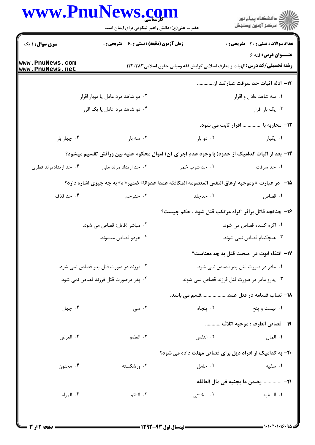## www.PnuNews.com

|                                    | www.PnuNews.com<br>حضرت علی(ع): دانش راهبر نیکویی برای ایمان است |                           | ر<br>دانشڪاه پيام نور)<br>ا∛ مرڪز آزمون وسنڊش                                                                     |  |
|------------------------------------|------------------------------------------------------------------|---------------------------|-------------------------------------------------------------------------------------------------------------------|--|
| <b>سری سوال : ۱ یک</b>             | <b>زمان آزمون (دقیقه) : تستی : 60 ٪ تشریحی : 0</b>               |                           | <b>تعداد سوالات : تستی : 30 ٪ تشریحی : 0</b>                                                                      |  |
| www.PnuNews.com<br>www.PnuNews.net |                                                                  |                           | <b>عنــوان درس: فقه ۶</b><br><b>رشته تحصیلی/کد درس:</b> الهیات و معارف اسلامی گرایش فقه ومبانی حقوق اسلامی۱۲۲۰۲۸۳ |  |
|                                    |                                                                  |                           | ۱۲– ادله اثبات حد سرقت عبارتند از                                                                                 |  |
| ۰۲ دو شاهد مرد عادل یا دوبار اقرار |                                                                  |                           | ۰۱ سه شاهد عادل و اقرار                                                                                           |  |
| ۰۴ دو شاهد مرد عادل یا یک اقرر     |                                                                  |                           | ۰۳ يک بار اقرار                                                                                                   |  |
|                                    |                                                                  |                           | <b>۱۳</b> - محاربه با  اقرار ثابت می شود.                                                                         |  |
| ۰۴ چهار بار                        | ۰۳ سه بار                                                        | ۰۲ دو بار                 | ۰۱ یکبار                                                                                                          |  |
|                                    |                                                                  |                           | ۱۴– بعد از اثبات کدامیک از حدود( با وجود عدم اجرای آن) اموال محکوم علیه بین وراثش تقسیم میشود؟                    |  |
| ۰۴ حد ارتدادمرتد فطری              | ۰۳ حد ارتداد مرتد ملي                                            | ۰۲ حد شرب خمر             | ۰۱ حد سرقت                                                                                                        |  |
|                                    |                                                                  |                           | ۱۵− در عبارت « وموجبه ازهاق النفس المعصومه المكافئه عمدا عدوانا» ضمير « ه» به چه چيزي اشاره دارد؟                 |  |
| ۰۴ حد قذف                          | ۰۳ حدرجم                                                         | ۰۲ حدجلد                  | ۰۱ قصاص                                                                                                           |  |
|                                    |                                                                  |                           | ۱۶- چنانچه قاتل براثر اکراه مرتکب قتل شود ، حکم چیست؟                                                             |  |
|                                    | ۰۲ مباشر (قاتل) قصاص می شود.                                     |                           | ۰۱ اکره کننده قصاص می شود.                                                                                        |  |
|                                    | ۰۴ هردو قصاص میشوند.                                             | ۰۳ هیچکدام قصاص نمی شوند. |                                                                                                                   |  |
|                                    |                                                                  |                           | 17- انتفاء ابوت در ًمبحث قتل به چه معناست؟                                                                        |  |
|                                    | ۰۲ فرزند در صورت قتل پدر قصاص نمی شود.                           |                           | ٠١ مادر در صورت قتل پدر قصاص نمي شود.                                                                             |  |
|                                    | ۰۴ پدر درصورت قتل فرزند قصاص نمی شود.                            |                           | ۰۳ پدرو مادر در صورت قتل فرزند قصاص نمی شوند.                                                                     |  |
|                                    |                                                                  |                           | ۱۸– نصاب قسامه در قتل عمدقسم می باشد.                                                                             |  |
| ۰۴ چهل                             | ۰۳ سی $\cdot$                                                    | ٠٢ ينجاه                  | ۰۱ بیست و پنج                                                                                                     |  |
|                                    |                                                                  |                           | ١٩–  قصاص الطرف : موجبه اتلاف                                                                                     |  |
| ۰۴ العرض                           | ۰۳ العضو                                                         | ۰۲ النفس                  | ٠١. المال                                                                                                         |  |
|                                    |                                                                  |                           | ۲۰- به کدامیک از افراد ذیل برای قصاص مهلت داده می شود؟                                                            |  |
| ۰۴ مجنون                           | ۰۳ ورشکسته                                                       | ۰۲ حامل                   | ۰۱ سفیه                                                                                                           |  |
|                                    |                                                                  |                           | <del>٢١</del> - يضمن ما يجنيه في مال العاقله.                                                                     |  |
| ۰۴ المراه                          | ۰۳ النائم                                                        | ٢. االخنثي                | ٠١. السفيه                                                                                                        |  |
|                                    |                                                                  |                           |                                                                                                                   |  |